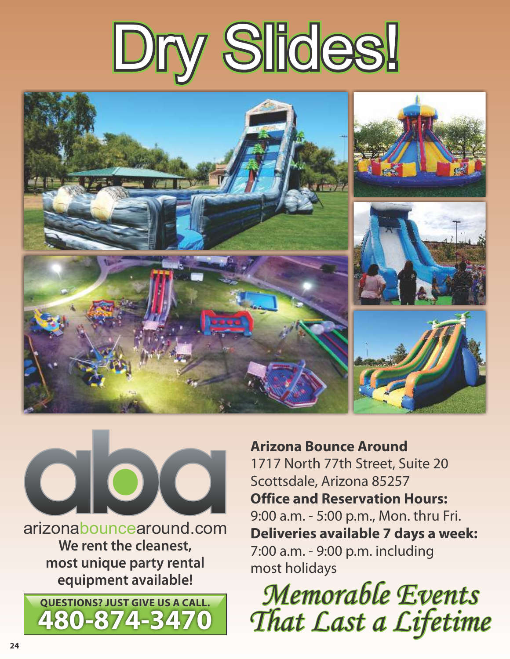





**We rent the cleanest, most unique party rental equipment available!**



**Arizona Bounce Around** 1717 North 77th Street, Suite 20 Scottsdale, Arizona 85257 **Office and Reservation Hours:** 9:00 a.m. - 5:00 p.m., Mon. thru Fri. **Deliveries available 7 days a week:** 7:00 a.m. - 9:00 p.m. including most holidays

**QUESTIONS? JUST GIVE US A CALL.**<br>A Q (a - 274 - 3470) That Cast a Cifetim *That Last a Lifetime*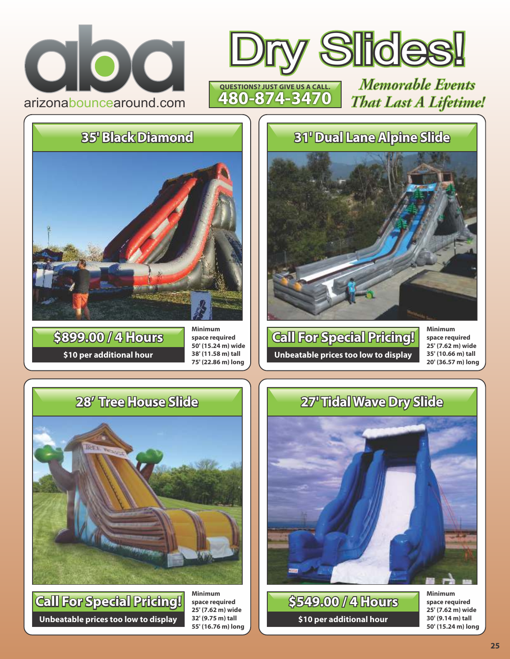





**\$10 per additional hour \$899.00 / 4 Hours**

**Minimum space required 50' (15.24 m) wide 38' (11.58 m) tall 75' (22.86 m) long**

## **28' Tree House Slide**



**Unbeatable prices too low to display Call For Special Pricing!**

**Minimum space required 25' (7.62 m) wide 32' (9.75 m) tall 55' (16.76 m) long**

## **35' Black Diamond 31' Dual Lane Alpine Slide**



**Unbeatable prices too low to display Call For Special Pricing!** **Minimum space required 25' (7.62 m) wide 35' (10.66 m) tall 20' (36.57 m) long**

## **27' Tidal Wave Dry Slide**



**\$10 per additional hour \$549.00 / 4 Hours** **Minimum space required 25' (7.62 m) wide 30' (9.14 m) tall 50' (15.24 m) long**